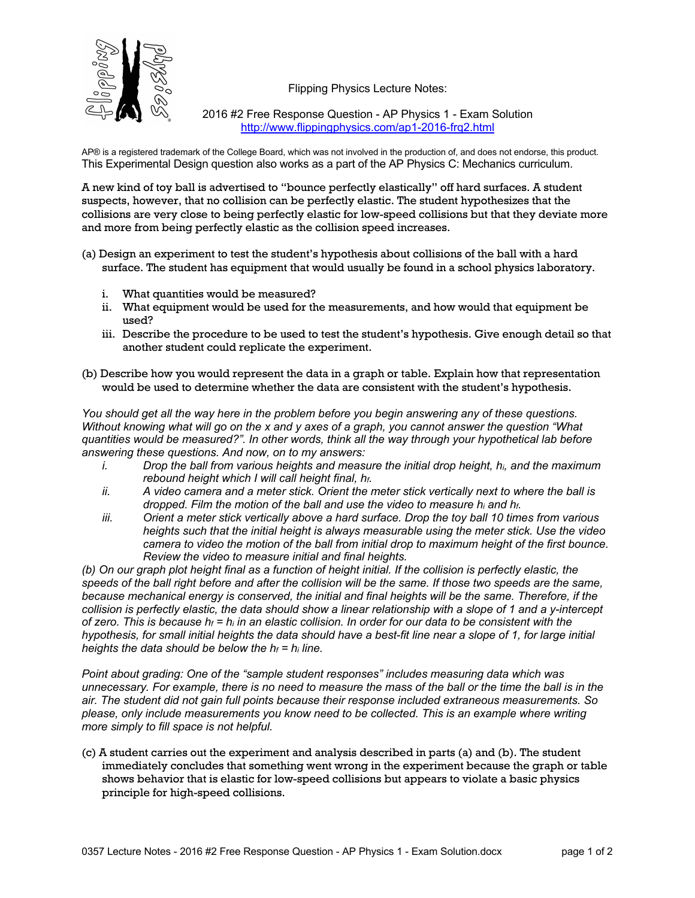Flipping Physics Lecture Notes:



2016 #2 Free Response Question - AP Physics 1 - Exam Solution http://www.flippingphysics.com/ap1-2016-frq2.html

AP® is a registered trademark of the College Board, which was not involved in the production of, and does not endorse, this product. This Experimental Design question also works as a part of the AP Physics C: Mechanics curriculum.

A new kind of toy ball is advertised to "bounce perfectly elastically" off hard surfaces. A student suspects, however, that no collision can be perfectly elastic. The student hypothesizes that the collisions are very close to being perfectly elastic for low-speed collisions but that they deviate more and more from being perfectly elastic as the collision speed increases.

- (a) Design an experiment to test the student's hypothesis about collisions of the ball with a hard surface. The student has equipment that would usually be found in a school physics laboratory.
	- i. What quantities would be measured?
	- ii. What equipment would be used for the measurements, and how would that equipment be used?
	- iii. Describe the procedure to be used to test the student's hypothesis. Give enough detail so that another student could replicate the experiment.
- (b) Describe how you would represent the data in a graph or table. Explain how that representation would be used to determine whether the data are consistent with the student's hypothesis.

*You should get all the way here in the problem before you begin answering any of these questions. Without knowing what will go on the x and y axes of a graph, you cannot answer the question "What quantities would be measured?". In other words, think all the way through your hypothetical lab before answering these questions. And now, on to my answers:*

- *i. Drop the ball from various heights and measure the initial drop height, hi, and the maximum rebound height which I will call height final, hf.*
- *ii. A video camera and a meter stick. Orient the meter stick vertically next to where the ball is dropped. Film the motion of the ball and use the video to measure hi and hf.*
- *iii. Orient a meter stick vertically above a hard surface. Drop the toy ball 10 times from various heights such that the initial height is always measurable using the meter stick. Use the video camera to video the motion of the ball from initial drop to maximum height of the first bounce. Review the video to measure initial and final heights.*

*(b) On our graph plot height final as a function of height initial. If the collision is perfectly elastic, the speeds of the ball right before and after the collision will be the same. If those two speeds are the same, because mechanical energy is conserved, the initial and final heights will be the same. Therefore, if the collision is perfectly elastic, the data should show a linear relationship with a slope of 1 and a y-intercept of zero. This is because hf = hi in an elastic collision. In order for our data to be consistent with the hypothesis, for small initial heights the data should have a best-fit line near a slope of 1, for large initial heights the data should be below the hf = hi line.*

*Point about grading: One of the "sample student responses" includes measuring data which was unnecessary. For example, there is no need to measure the mass of the ball or the time the ball is in the air. The student did not gain full points because their response included extraneous measurements. So please, only include measurements you know need to be collected. This is an example where writing more simply to fill space is not helpful.*

(c) A student carries out the experiment and analysis described in parts (a) and (b). The student immediately concludes that something went wrong in the experiment because the graph or table shows behavior that is elastic for low-speed collisions but appears to violate a basic physics principle for high-speed collisions.